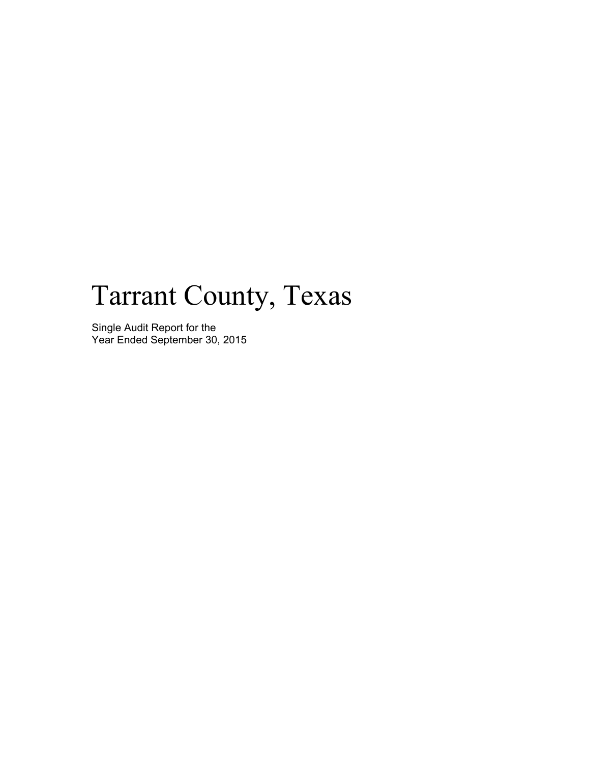# Tarrant County, Texas

Single Audit Report for the Year Ended September 30, 2015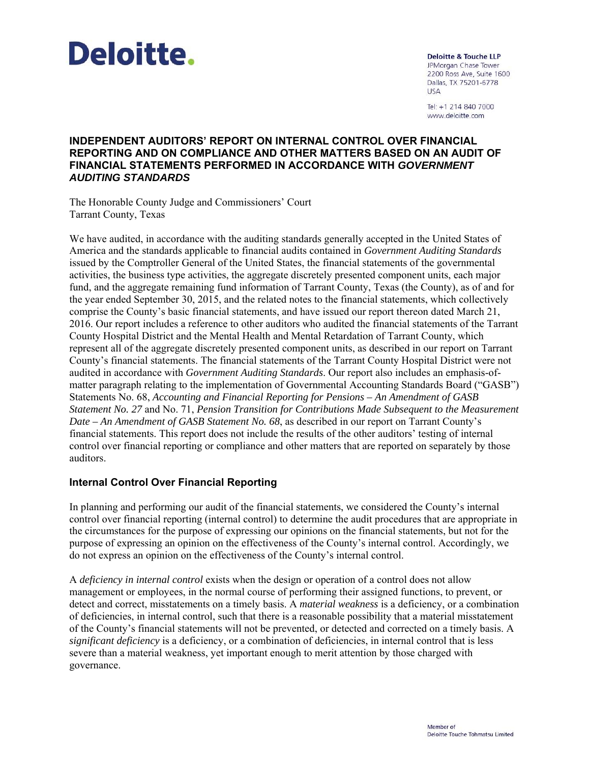

**Deloitte & Touche LLP** JPMorgan Chase Tower 2200 Ross Ave, Suite 1600 Dallas, TX 75201-6778 **USA** 

Tel: +1 214 840 7000 www.deloitte.com

#### **INDEPENDENT AUDITORS' REPORT ON INTERNAL CONTROL OVER FINANCIAL REPORTING AND ON COMPLIANCE AND OTHER MATTERS BASED ON AN AUDIT OF FINANCIAL STATEMENTS PERFORMED IN ACCORDANCE WITH** *GOVERNMENT AUDITING STANDARDS*

The Honorable County Judge and Commissioners' Court Tarrant County, Texas

We have audited, in accordance with the auditing standards generally accepted in the United States of America and the standards applicable to financial audits contained in *Government Auditing Standards*  issued by the Comptroller General of the United States, the financial statements of the governmental activities, the business type activities, the aggregate discretely presented component units, each major fund, and the aggregate remaining fund information of Tarrant County, Texas (the County), as of and for the year ended September 30, 2015, and the related notes to the financial statements, which collectively comprise the County's basic financial statements, and have issued our report thereon dated March 21, 2016. Our report includes a reference to other auditors who audited the financial statements of the Tarrant County Hospital District and the Mental Health and Mental Retardation of Tarrant County, which represent all of the aggregate discretely presented component units, as described in our report on Tarrant County's financial statements. The financial statements of the Tarrant County Hospital District were not audited in accordance with *Government Auditing Standards*. Our report also includes an emphasis-ofmatter paragraph relating to the implementation of Governmental Accounting Standards Board ("GASB") Statements No. 68, *Accounting and Financial Reporting for Pensions – An Amendment of GASB Statement No. 27* and No. 71, *Pension Transition for Contributions Made Subsequent to the Measurement Date – An Amendment of GASB Statement No. 68*, as described in our report on Tarrant County's financial statements. This report does not include the results of the other auditors' testing of internal control over financial reporting or compliance and other matters that are reported on separately by those auditors.

#### **Internal Control Over Financial Reporting**

In planning and performing our audit of the financial statements, we considered the County's internal control over financial reporting (internal control) to determine the audit procedures that are appropriate in the circumstances for the purpose of expressing our opinions on the financial statements, but not for the purpose of expressing an opinion on the effectiveness of the County's internal control. Accordingly, we do not express an opinion on the effectiveness of the County's internal control.

A *deficiency in internal control* exists when the design or operation of a control does not allow management or employees, in the normal course of performing their assigned functions, to prevent, or detect and correct, misstatements on a timely basis. A *material weakness* is a deficiency, or a combination of deficiencies, in internal control, such that there is a reasonable possibility that a material misstatement of the County's financial statements will not be prevented, or detected and corrected on a timely basis. A *significant deficiency* is a deficiency, or a combination of deficiencies, in internal control that is less severe than a material weakness, yet important enough to merit attention by those charged with governance.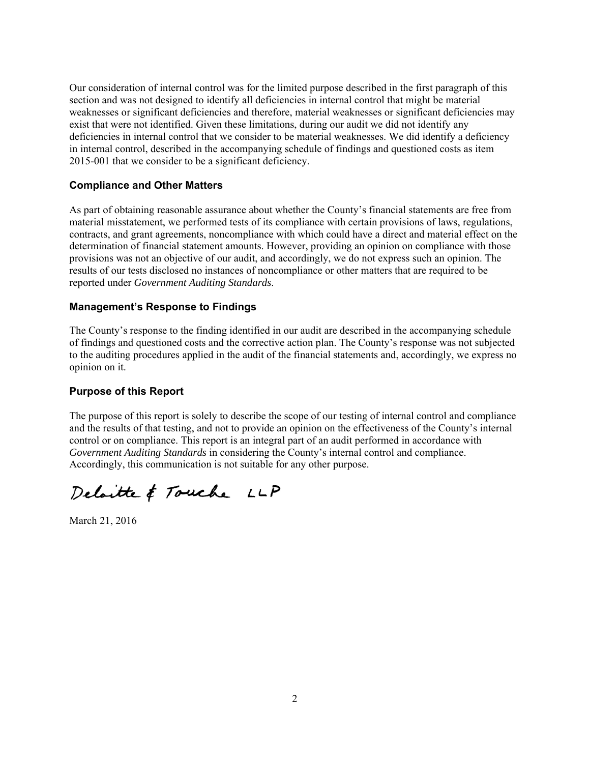Our consideration of internal control was for the limited purpose described in the first paragraph of this section and was not designed to identify all deficiencies in internal control that might be material weaknesses or significant deficiencies and therefore, material weaknesses or significant deficiencies may exist that were not identified. Given these limitations, during our audit we did not identify any deficiencies in internal control that we consider to be material weaknesses. We did identify a deficiency in internal control, described in the accompanying schedule of findings and questioned costs as item 2015-001 that we consider to be a significant deficiency.

#### **Compliance and Other Matters**

As part of obtaining reasonable assurance about whether the County's financial statements are free from material misstatement, we performed tests of its compliance with certain provisions of laws, regulations, contracts, and grant agreements, noncompliance with which could have a direct and material effect on the determination of financial statement amounts. However, providing an opinion on compliance with those provisions was not an objective of our audit, and accordingly, we do not express such an opinion. The results of our tests disclosed no instances of noncompliance or other matters that are required to be reported under *Government Auditing Standards*.

#### **Management's Response to Findings**

The County's response to the finding identified in our audit are described in the accompanying schedule of findings and questioned costs and the corrective action plan. The County's response was not subjected to the auditing procedures applied in the audit of the financial statements and, accordingly, we express no opinion on it.

#### **Purpose of this Report**

The purpose of this report is solely to describe the scope of our testing of internal control and compliance and the results of that testing, and not to provide an opinion on the effectiveness of the County's internal control or on compliance. This report is an integral part of an audit performed in accordance with *Government Auditing Standards* in considering the County's internal control and compliance. Accordingly, this communication is not suitable for any other purpose.

Delaitte & Touche LLP

March 21, 2016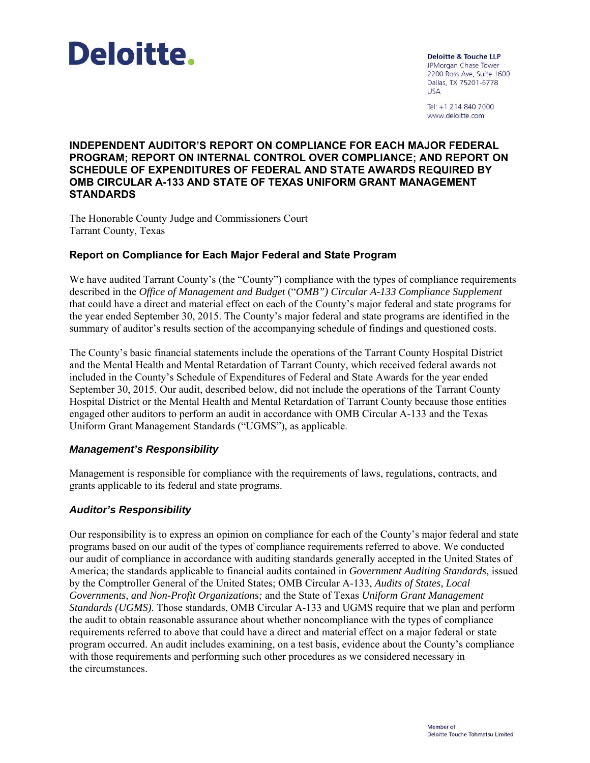

**Deloitte & Touche LLP** JPMorgan Chase Tower 2200 Ross Ave, Suite 1600 Dallas, TX 75201-6778 **USA** 

Tel: +1 214 840 7000 www.deloitte.com

#### **INDEPENDENT AUDITOR'S REPORT ON COMPLIANCE FOR EACH MAJOR FEDERAL PROGRAM; REPORT ON INTERNAL CONTROL OVER COMPLIANCE; AND REPORT ON SCHEDULE OF EXPENDITURES OF FEDERAL AND STATE AWARDS REQUIRED BY OMB CIRCULAR A-133 AND STATE OF TEXAS UNIFORM GRANT MANAGEMENT STANDARDS**

The Honorable County Judge and Commissioners Court Tarrant County, Texas

#### **Report on Compliance for Each Major Federal and State Program**

We have audited Tarrant County's (the "County") compliance with the types of compliance requirements described in the *Office of Management and Budget* ("*OMB") Circular A-133 Compliance Supplement*  that could have a direct and material effect on each of the County's major federal and state programs for the year ended September 30, 2015. The County's major federal and state programs are identified in the summary of auditor's results section of the accompanying schedule of findings and questioned costs.

The County's basic financial statements include the operations of the Tarrant County Hospital District and the Mental Health and Mental Retardation of Tarrant County, which received federal awards not included in the County's Schedule of Expenditures of Federal and State Awards for the year ended September 30, 2015. Our audit, described below, did not include the operations of the Tarrant County Hospital District or the Mental Health and Mental Retardation of Tarrant County because those entities engaged other auditors to perform an audit in accordance with OMB Circular A-133 and the Texas Uniform Grant Management Standards ("UGMS"), as applicable.

#### *Management's Responsibility*

Management is responsible for compliance with the requirements of laws, regulations, contracts, and grants applicable to its federal and state programs.

#### *Auditor's Responsibility*

Our responsibility is to express an opinion on compliance for each of the County's major federal and state programs based on our audit of the types of compliance requirements referred to above. We conducted our audit of compliance in accordance with auditing standards generally accepted in the United States of America; the standards applicable to financial audits contained in *Government Auditing Standards*, issued by the Comptroller General of the United States; OMB Circular A-133, *Audits of States, Local Governments, and Non-Profit Organizations;* and the State of Texas *Uniform Grant Management Standards (UGMS)*. Those standards, OMB Circular A-133 and UGMS require that we plan and perform the audit to obtain reasonable assurance about whether noncompliance with the types of compliance requirements referred to above that could have a direct and material effect on a major federal or state program occurred. An audit includes examining, on a test basis, evidence about the County's compliance with those requirements and performing such other procedures as we considered necessary in the circumstances.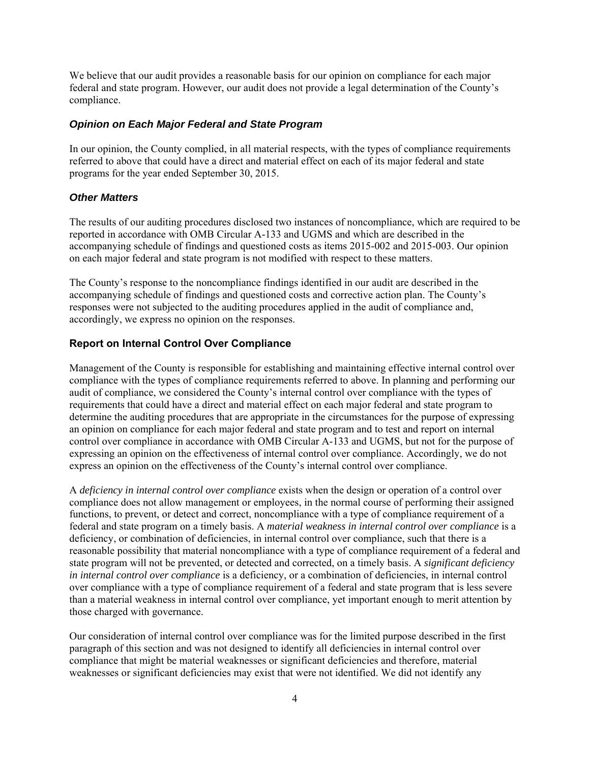We believe that our audit provides a reasonable basis for our opinion on compliance for each major federal and state program. However, our audit does not provide a legal determination of the County's compliance.

#### *Opinion on Each Major Federal and State Program*

In our opinion, the County complied, in all material respects, with the types of compliance requirements referred to above that could have a direct and material effect on each of its major federal and state programs for the year ended September 30, 2015.

#### *Other Matters*

The results of our auditing procedures disclosed two instances of noncompliance, which are required to be reported in accordance with OMB Circular A-133 and UGMS and which are described in the accompanying schedule of findings and questioned costs as items 2015-002 and 2015-003. Our opinion on each major federal and state program is not modified with respect to these matters.

The County's response to the noncompliance findings identified in our audit are described in the accompanying schedule of findings and questioned costs and corrective action plan. The County's responses were not subjected to the auditing procedures applied in the audit of compliance and, accordingly, we express no opinion on the responses.

#### **Report on Internal Control Over Compliance**

Management of the County is responsible for establishing and maintaining effective internal control over compliance with the types of compliance requirements referred to above. In planning and performing our audit of compliance, we considered the County's internal control over compliance with the types of requirements that could have a direct and material effect on each major federal and state program to determine the auditing procedures that are appropriate in the circumstances for the purpose of expressing an opinion on compliance for each major federal and state program and to test and report on internal control over compliance in accordance with OMB Circular A-133 and UGMS, but not for the purpose of expressing an opinion on the effectiveness of internal control over compliance. Accordingly, we do not express an opinion on the effectiveness of the County's internal control over compliance.

A *deficiency in internal control over compliance* exists when the design or operation of a control over compliance does not allow management or employees, in the normal course of performing their assigned functions, to prevent, or detect and correct, noncompliance with a type of compliance requirement of a federal and state program on a timely basis. A *material weakness in internal control over compliance* is a deficiency, or combination of deficiencies, in internal control over compliance, such that there is a reasonable possibility that material noncompliance with a type of compliance requirement of a federal and state program will not be prevented, or detected and corrected, on a timely basis. A *significant deficiency in internal control over compliance* is a deficiency, or a combination of deficiencies, in internal control over compliance with a type of compliance requirement of a federal and state program that is less severe than a material weakness in internal control over compliance, yet important enough to merit attention by those charged with governance.

Our consideration of internal control over compliance was for the limited purpose described in the first paragraph of this section and was not designed to identify all deficiencies in internal control over compliance that might be material weaknesses or significant deficiencies and therefore, material weaknesses or significant deficiencies may exist that were not identified. We did not identify any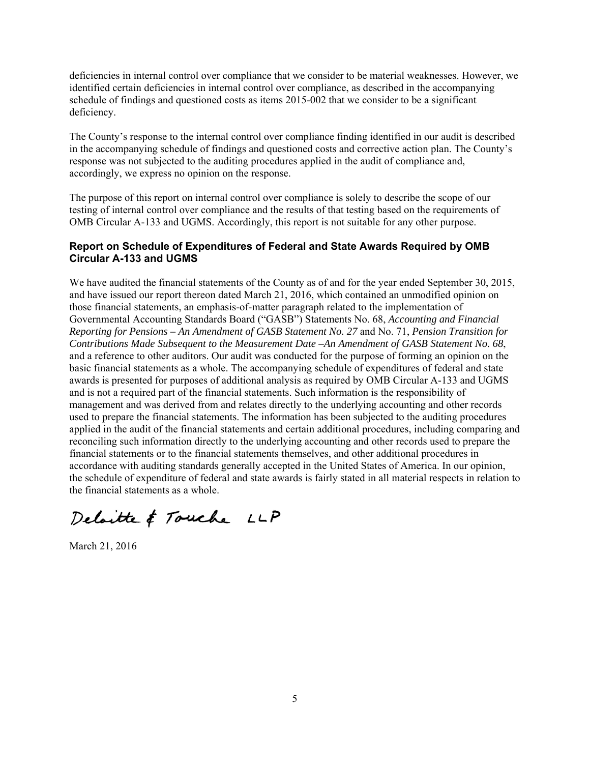deficiencies in internal control over compliance that we consider to be material weaknesses. However, we identified certain deficiencies in internal control over compliance, as described in the accompanying schedule of findings and questioned costs as items 2015-002 that we consider to be a significant deficiency.

The County's response to the internal control over compliance finding identified in our audit is described in the accompanying schedule of findings and questioned costs and corrective action plan. The County's response was not subjected to the auditing procedures applied in the audit of compliance and, accordingly, we express no opinion on the response.

The purpose of this report on internal control over compliance is solely to describe the scope of our testing of internal control over compliance and the results of that testing based on the requirements of OMB Circular A-133 and UGMS. Accordingly, this report is not suitable for any other purpose.

#### **Report on Schedule of Expenditures of Federal and State Awards Required by OMB Circular A-133 and UGMS**

We have audited the financial statements of the County as of and for the year ended September 30, 2015, and have issued our report thereon dated March 21, 2016, which contained an unmodified opinion on those financial statements, an emphasis-of-matter paragraph related to the implementation of Governmental Accounting Standards Board ("GASB") Statements No. 68, *Accounting and Financial Reporting for Pensions – An Amendment of GASB Statement No. 27* and No. 71, *Pension Transition for Contributions Made Subsequent to the Measurement Date –An Amendment of GASB Statement No. 68*, and a reference to other auditors. Our audit was conducted for the purpose of forming an opinion on the basic financial statements as a whole. The accompanying schedule of expenditures of federal and state awards is presented for purposes of additional analysis as required by OMB Circular A-133 and UGMS and is not a required part of the financial statements. Such information is the responsibility of management and was derived from and relates directly to the underlying accounting and other records used to prepare the financial statements. The information has been subjected to the auditing procedures applied in the audit of the financial statements and certain additional procedures, including comparing and reconciling such information directly to the underlying accounting and other records used to prepare the financial statements or to the financial statements themselves, and other additional procedures in accordance with auditing standards generally accepted in the United States of America. In our opinion, the schedule of expenditure of federal and state awards is fairly stated in all material respects in relation to the financial statements as a whole.

Deloitte & Touche LLP

March 21, 2016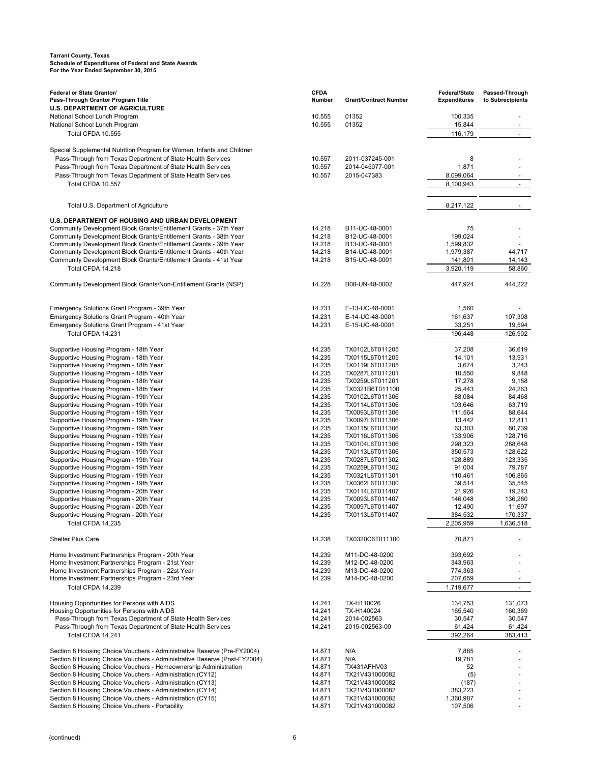| Federal or State Grantor/                                                                                                  | <b>CFDA</b>      |                                    | Federal/State        | Passed-Through           |
|----------------------------------------------------------------------------------------------------------------------------|------------------|------------------------------------|----------------------|--------------------------|
| Pass-Through Grantor Program Title                                                                                         | <b>Number</b>    | <b>Grant/Contract Number</b>       | <b>Expenditures</b>  | to Subrecipients         |
| <b>U.S. DEPARTMENT OF AGRICULTURE</b>                                                                                      |                  |                                    |                      |                          |
| National School Lunch Program                                                                                              | 10.555           | 01352                              | 100,335              |                          |
| National School Lunch Program                                                                                              | 10.555           | 01352                              | 15,844               | $\overline{\phantom{a}}$ |
| Total CFDA 10.555                                                                                                          |                  |                                    | 116,179              | $\sim$                   |
| Special Supplemental Nutrition Program for Women, Infants and Children                                                     |                  |                                    |                      |                          |
| Pass-Through from Texas Department of State Health Services                                                                | 10.557           | 2011-037245-001                    | 8                    |                          |
| Pass-Through from Texas Department of State Health Services                                                                | 10.557           | 2014-045077-001                    | 1,871                |                          |
| Pass-Through from Texas Department of State Health Services                                                                | 10.557           | 2015-047383                        | 8,099,064            |                          |
| Total CFDA 10.557                                                                                                          |                  |                                    | 8,100,943            | $\sim$                   |
|                                                                                                                            |                  |                                    |                      |                          |
|                                                                                                                            |                  |                                    |                      |                          |
| Total U.S. Department of Agriculture                                                                                       |                  |                                    | 8,217,122            |                          |
| U.S. DEPARTMENT OF HOUSING AND URBAN DEVELOPMENT                                                                           |                  |                                    |                      |                          |
| Community Development Block Grants/Entitlement Grants - 37th Year                                                          | 14.218           | B11-UC-48-0001                     | 75                   |                          |
| Community Development Block Grants/Entitlement Grants - 38th Year                                                          | 14.218           | B12-UC-48-0001                     | 199,024              |                          |
| Community Development Block Grants/Entitlement Grants - 39th Year                                                          | 14.218           | B13-UC-48-0001                     | 1,599,832            |                          |
| Community Development Block Grants/Entitlement Grants - 40th Year                                                          | 14.218           | B14-UC-48-0001                     | 1,979,387            | 44,717                   |
| Community Development Block Grants/Entitlement Grants - 41st Year                                                          | 14.218           | B15-UC-48-0001                     | 141,801              | 14,143                   |
| Total CFDA 14.218                                                                                                          |                  |                                    | 3,920,119            | 58,860                   |
| Community Development Block Grants/Non-Entitlement Grants (NSP)                                                            | 14.228           | B08-UN-48-0002                     | 447,924              | 444.222                  |
|                                                                                                                            |                  |                                    |                      |                          |
|                                                                                                                            |                  |                                    |                      |                          |
| Emergency Solutions Grant Program - 39th Year                                                                              | 14.231           | E-13-UC-48-0001                    | 1,560                |                          |
| Emergency Solutions Grant Program - 40th Year                                                                              | 14.231           | E-14-UC-48-0001                    | 161,637              | 107,308                  |
| Emergency Solutions Grant Program - 41st Year                                                                              | 14.231           | E-15-UC-48-0001                    | 33,251               | 19,594                   |
| Total CFDA 14.231                                                                                                          |                  |                                    | 196,448              | 126.902                  |
| Supportive Housing Program - 18th Year                                                                                     | 14.235           | TX0102L6T011205                    | 37,208               | 36,619                   |
| Supportive Housing Program - 18th Year                                                                                     | 14.235           | TX0115L6T011205                    | 14,101               | 13,931                   |
| Supportive Housing Program - 18th Year                                                                                     | 14.235           | TX0119L6T011205                    | 3,674                | 3,243                    |
| Supportive Housing Program - 18th Year                                                                                     | 14.235           | TX0287L6T011201                    | 10,550               | 9,848                    |
| Supportive Housing Program - 18th Year                                                                                     | 14.235           | TX0259L6T011201                    | 17,278               | 9,158                    |
| Supportive Housing Program - 18th Year                                                                                     | 14.235           | TX0321B6T011100                    | 25,443               | 24,263                   |
| Supportive Housing Program - 19th Year                                                                                     | 14.235           | TX0102L6T011306                    | 88,084               | 84,468                   |
| Supportive Housing Program - 19th Year                                                                                     | 14.235           | TX0114L6T011306                    | 103,646              | 63,719                   |
| Supportive Housing Program - 19th Year                                                                                     | 14.235<br>14.235 | TX0093L6T011306                    | 111,564              | 88,644                   |
| Supportive Housing Program - 19th Year<br>Supportive Housing Program - 19th Year                                           | 14.235           | TX0097L6T011306<br>TX0115L6T011306 | 13,442<br>63,303     | 12,811<br>60,739         |
| Supportive Housing Program - 19th Year                                                                                     | 14.235           | TX0116L6T011306                    | 133,906              | 128,716                  |
| Supportive Housing Program - 19th Year                                                                                     | 14.235           | TX0104L6T011306                    | 298,323              | 288,648                  |
| Supportive Housing Program - 19th Year                                                                                     | 14.235           | TX0113L6T011306                    | 350,573              | 128,622                  |
| Supportive Housing Program - 19th Year                                                                                     | 14.235           | TX0287L6T011302                    | 128,889              | 123,335                  |
| Supportive Housing Program - 19th Year                                                                                     | 14.235           | TX0259L6T011302                    | 91,004               | 79,787                   |
| Supportive Housing Program - 19th Year                                                                                     | 14.235           | TX0321L6T011301                    | 110,461              | 106,865                  |
| Supportive Housing Program - 19th Year                                                                                     | 14.235<br>14.235 | TX0362L6T011300                    | 39,514               | 35,545                   |
| Supportive Housing Program - 20th Year<br>Supportive Housing Program - 20th Year                                           | 14.235           | TX0114L6T011407<br>TX0093L6T011407 | 21,926<br>146,048    | 19,243<br>136,280        |
| Supportive Housing Program - 20th Year                                                                                     | 14.235           | TX0097L6T011407                    | 12,490               | 11,697                   |
| Supportive Housing Program - 20th Year                                                                                     | 14.235           | TX0113L6T011407                    | 384,532              | 170,337                  |
| Total CFDA 14.235                                                                                                          |                  |                                    | 2,205,959            | 1,636,518                |
|                                                                                                                            |                  |                                    |                      |                          |
| <b>Shelter Plus Care</b>                                                                                                   | 14.238           | TX0320C6T011100                    | 70,871               |                          |
| Home Investment Partnerships Program - 20th Year                                                                           | 14.239           | M11-DC-48-0200                     | 393,692              |                          |
| Home Investment Partnerships Program - 21st Year                                                                           | 14.239           | M12-DC-48-0200                     | 343,963              |                          |
| Home Investment Partnerships Program - 22st Year                                                                           | 14.239           | M13-DC-48-0200                     | 774,363              |                          |
| Home Investment Partnerships Program - 23rd Year                                                                           | 14.239           | M14-DC-48-0200                     | 207,659              |                          |
| Total CFDA 14.239                                                                                                          |                  |                                    | 1,719,677            | $\overline{\phantom{a}}$ |
|                                                                                                                            |                  |                                    |                      |                          |
| Housing Opportunities for Persons with AIDS                                                                                | 14.241           | TX-H110026                         | 134,753              | 131,073                  |
| Housing Opportunities for Persons with AIDS                                                                                | 14.241           | TX-H140024                         | 165,540              | 160,369                  |
| Pass-Through from Texas Department of State Health Services<br>Pass-Through from Texas Department of State Health Services | 14.241           | 2014-002563<br>2015-002563-00      | 30,547               | 30,547                   |
| Total CFDA 14.241                                                                                                          | 14.241           |                                    | 61,424<br>392,264    | 61,424<br>383,413        |
|                                                                                                                            |                  |                                    |                      |                          |
| Section 8 Housing Choice Vouchers - Administrative Reserve (Pre-FY2004)                                                    | 14.871           | N/A                                | 7,885                |                          |
| Section 8 Housing Choice Vouchers - Administrative Reserve (Post-FY2004)                                                   | 14.871           | N/A                                | 19,781               |                          |
| Section 8 Housing Choice Vouchers - Homeownership Administration                                                           | 14.871           | TX431AFHV03                        | 52                   |                          |
| Section 8 Housing Choice Vouchers - Administration (CY12)                                                                  | 14.871           | TX21V431000082                     | (5)                  |                          |
| Section 8 Housing Choice Vouchers - Administration (CY13)                                                                  | 14.871           | TX21V431000082                     | (187)                |                          |
| Section 8 Housing Choice Vouchers - Administration (CY14)<br>Section 8 Housing Choice Vouchers - Administration (CY15)     | 14.871<br>14.871 | TX21V431000082<br>TX21V431000082   | 383,223<br>1,360,987 |                          |
| Section 8 Housing Choice Vouchers - Portability                                                                            | 14.871           | TX21V431000082                     | 107,506              |                          |
|                                                                                                                            |                  |                                    |                      |                          |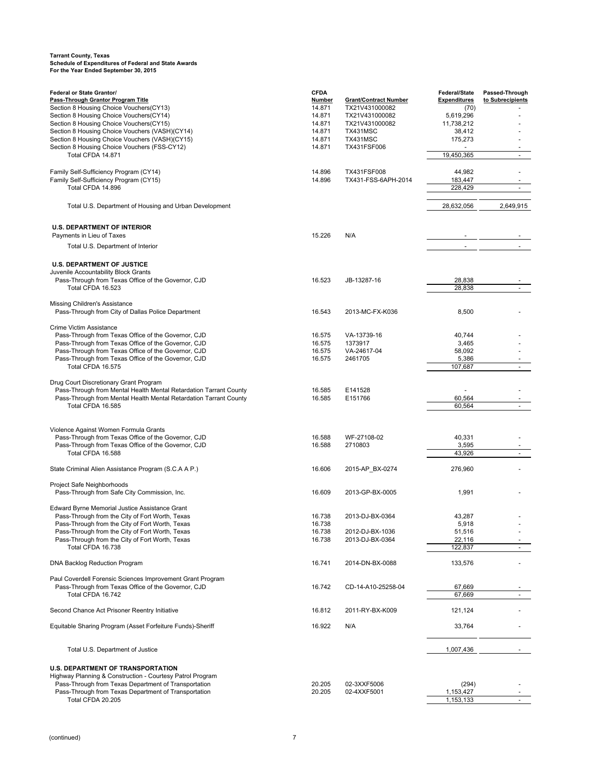| Federal or State Grantor/                                         | <b>CFDA</b>   |                              | <b>Federal/State</b> | Passed-Through           |
|-------------------------------------------------------------------|---------------|------------------------------|----------------------|--------------------------|
| Pass-Through Grantor Program Title                                | <b>Number</b> | <b>Grant/Contract Number</b> | <b>Expenditures</b>  | to Subrecipients         |
| Section 8 Housing Choice Vouchers (CY13)                          | 14.871        | TX21V431000082               | (70)                 |                          |
| Section 8 Housing Choice Vouchers(CY14)                           | 14.871        | TX21V431000082               | 5,619,296            |                          |
| Section 8 Housing Choice Vouchers(CY15)                           | 14.871        | TX21V431000082               | 11,738,212           |                          |
| Section 8 Housing Choice Vouchers (VASH)(CY14)                    | 14.871        | TX431MSC                     | 38,412               |                          |
| Section 8 Housing Choice Vouchers (VASH)(CY15)                    | 14.871        | TX431MSC                     | 175,273              |                          |
| Section 8 Housing Choice Vouchers (FSS-CY12)                      | 14.871        | TX431FSF006                  |                      |                          |
| Total CFDA 14.871                                                 |               |                              | 19,450,365           |                          |
|                                                                   |               |                              |                      |                          |
| Family Self-Sufficiency Program (CY14)                            | 14.896        | TX431FSF008                  | 44,982               |                          |
| Family Self-Sufficiency Program (CY15)                            | 14.896        | TX431-FSS-6APH-2014          | 183,447              |                          |
| Total CFDA 14.896                                                 |               |                              | 228,429              | $\overline{\phantom{a}}$ |
|                                                                   |               |                              |                      |                          |
| Total U.S. Department of Housing and Urban Development            |               |                              | 28,632,056           | 2,649,915                |
|                                                                   |               |                              |                      |                          |
|                                                                   |               |                              |                      |                          |
| <b>U.S. DEPARTMENT OF INTERIOR</b>                                |               |                              |                      |                          |
| Payments in Lieu of Taxes                                         | 15.226        | N/A                          |                      |                          |
| Total U.S. Department of Interior                                 |               |                              |                      |                          |
|                                                                   |               |                              |                      |                          |
|                                                                   |               |                              |                      |                          |
| <b>U.S. DEPARTMENT OF JUSTICE</b>                                 |               |                              |                      |                          |
| Juvenile Accountability Block Grants                              |               |                              |                      |                          |
| Pass-Through from Texas Office of the Governor, CJD               | 16.523        | JB-13287-16                  | 28,838               |                          |
| Total CFDA 16.523                                                 |               |                              | 28,838               |                          |
|                                                                   |               |                              |                      |                          |
| Missing Children's Assistance                                     |               |                              |                      |                          |
| Pass-Through from City of Dallas Police Department                | 16.543        | 2013-MC-FX-K036              | 8,500                |                          |
|                                                                   |               |                              |                      |                          |
| Crime Victim Assistance                                           |               |                              |                      |                          |
| Pass-Through from Texas Office of the Governor, CJD               | 16.575        | VA-13739-16                  | 40,744               |                          |
| Pass-Through from Texas Office of the Governor, CJD               | 16.575        | 1373917                      | 3,465                |                          |
| Pass-Through from Texas Office of the Governor, CJD               | 16.575        | VA-24617-04                  | 58,092               |                          |
| Pass-Through from Texas Office of the Governor, CJD               | 16.575        | 2461705                      | 5,386                |                          |
| Total CFDA 16.575                                                 |               |                              | 107,687              |                          |
|                                                                   |               |                              |                      |                          |
| Drug Court Discretionary Grant Program                            |               |                              |                      |                          |
| Pass-Through from Mental Health Mental Retardation Tarrant County | 16.585        | E141528                      |                      |                          |
| Pass-Through from Mental Health Mental Retardation Tarrant County | 16.585        | E151766                      | 60,564               |                          |
| Total CFDA 16.585                                                 |               |                              | 60,564               | ÷.                       |
|                                                                   |               |                              |                      |                          |
|                                                                   |               |                              |                      |                          |
| Violence Against Women Formula Grants                             |               |                              |                      |                          |
| Pass-Through from Texas Office of the Governor, CJD               | 16.588        | WF-27108-02                  | 40,331               |                          |
| Pass-Through from Texas Office of the Governor, CJD               | 16.588        | 2710803                      | 3,595                |                          |
| Total CFDA 16.588                                                 |               |                              | 43,926               |                          |
|                                                                   |               |                              |                      |                          |
| State Criminal Alien Assistance Program (S.C.A A P.)              | 16.606        | 2015-AP_BX-0274              | 276,960              |                          |
|                                                                   |               |                              |                      |                          |
| Project Safe Neighborhoods                                        |               |                              |                      |                          |
| Pass-Through from Safe City Commission, Inc.                      | 16.609        | 2013-GP-BX-0005              | 1,991                |                          |
|                                                                   |               |                              |                      |                          |
| Edward Byrne Memorial Justice Assistance Grant                    |               |                              |                      |                          |
| Pass-Through from the City of Fort Worth, Texas                   | 16.738        | 2013-DJ-BX-0364              | 43,287               |                          |
| Pass-Through from the City of Fort Worth, Texas                   | 16.738        |                              | 5,918                |                          |
| Pass-Through from the City of Fort Worth, Texas                   | 16.738        | 2012-DJ-BX-1036              | 51,516               |                          |
| Pass-Through from the City of Fort Worth, Texas                   | 16.738        | 2013-DJ-BX-0364              | 22,116               |                          |
| Total CFDA 16.738                                                 |               |                              | 122,837              | $\sim$                   |
|                                                                   |               |                              |                      |                          |
| DNA Backlog Reduction Program                                     | 16.741        | 2014-DN-BX-0088              | 133,576              |                          |
|                                                                   |               |                              |                      |                          |
| Paul Coverdell Forensic Sciences Improvement Grant Program        |               |                              |                      |                          |
| Pass-Through from Texas Office of the Governor, CJD               | 16.742        | CD-14-A10-25258-04           | 67,669               |                          |
| Total CFDA 16.742                                                 |               |                              | 67,669               |                          |
|                                                                   |               |                              |                      |                          |
| Second Chance Act Prisoner Reentry Initiative                     | 16.812        | 2011-RY-BX-K009              | 121,124              |                          |
|                                                                   |               |                              |                      |                          |
| Equitable Sharing Program (Asset Forfeiture Funds)-Sheriff        | 16.922        | N/A                          | 33,764               |                          |
|                                                                   |               |                              |                      |                          |
|                                                                   |               |                              |                      |                          |
| Total U.S. Department of Justice                                  |               |                              | 1,007,436            |                          |
|                                                                   |               |                              |                      |                          |
|                                                                   |               |                              |                      |                          |
| <b>U.S. DEPARTMENT OF TRANSPORTATION</b>                          |               |                              |                      |                          |
| Highway Planning & Construction - Courtesy Patrol Program         |               |                              |                      |                          |
| Pass-Through from Texas Department of Transportation              | 20.205        | 02-3XXF5006                  | (294)                |                          |
| Pass-Through from Texas Department of Transportation              | 20.205        | 02-4XXF5001                  | 1,153,427            |                          |
| Total CFDA 20.205                                                 |               |                              | 1,153,133            | $\blacksquare$           |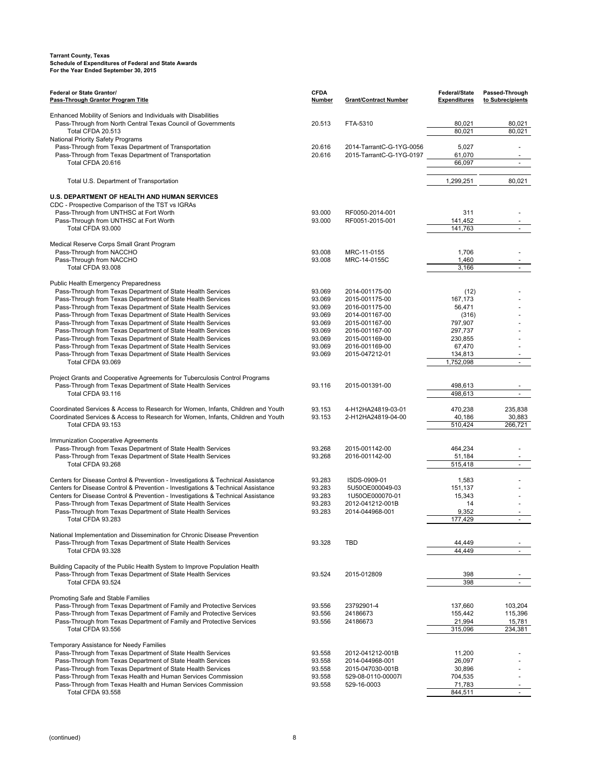| Federal or State Grantor/<br>Pass-Through Grantor Program Title                                                                         | <b>CFDA</b><br><b>Number</b> | <b>Grant/Contract Number</b> | Federal/State<br><b>Expenditures</b> | Passed-Through<br>to Subrecipients |
|-----------------------------------------------------------------------------------------------------------------------------------------|------------------------------|------------------------------|--------------------------------------|------------------------------------|
|                                                                                                                                         |                              |                              |                                      |                                    |
| Enhanced Mobility of Seniors and Individuals with Disabilities                                                                          |                              |                              |                                      |                                    |
| Pass-Through from North Central Texas Council of Governments                                                                            | 20.513                       | FTA-5310                     | 80,021                               | 80,021                             |
| Total CFDA 20.513                                                                                                                       |                              |                              | 80,021                               | 80,021                             |
| National Priority Safety Programs<br>Pass-Through from Texas Department of Transportation                                               | 20.616                       | 2014-TarrantC-G-1YG-0056     | 5,027                                |                                    |
| Pass-Through from Texas Department of Transportation                                                                                    | 20.616                       | 2015-TarrantC-G-1YG-0197     | 61,070                               | $\overline{\phantom{a}}$           |
| Total CFDA 20.616                                                                                                                       |                              |                              | 66,097                               |                                    |
|                                                                                                                                         |                              |                              |                                      |                                    |
| Total U.S. Department of Transportation                                                                                                 |                              |                              | 1,299,251                            | 80,021                             |
| U.S. DEPARTMENT OF HEALTH AND HUMAN SERVICES                                                                                            |                              |                              |                                      |                                    |
| CDC - Prospective Comparison of the TST vs IGRAs                                                                                        |                              |                              |                                      |                                    |
| Pass-Through from UNTHSC at Fort Worth                                                                                                  | 93.000                       | RF0050-2014-001              | 311                                  |                                    |
| Pass-Through from UNTHSC at Fort Worth                                                                                                  | 93.000                       | RF0051-2015-001              | 141,452                              |                                    |
| Total CFDA 93.000                                                                                                                       |                              |                              | 141,763                              | $\sim$                             |
| Medical Reserve Corps Small Grant Program                                                                                               |                              |                              |                                      |                                    |
| Pass-Through from NACCHO                                                                                                                | 93.008                       | MRC-11-0155                  | 1,706                                |                                    |
| Pass-Through from NACCHO                                                                                                                | 93.008                       | MRC-14-0155C                 | 1,460                                |                                    |
| Total CFDA 93.008                                                                                                                       |                              |                              | 3,166                                | $\blacksquare$                     |
|                                                                                                                                         |                              |                              |                                      |                                    |
| <b>Public Health Emergency Preparedness</b><br>Pass-Through from Texas Department of State Health Services                              | 93.069                       | 2014-001175-00               | (12)                                 |                                    |
| Pass-Through from Texas Department of State Health Services                                                                             | 93.069                       | 2015-001175-00               | 167,173                              |                                    |
| Pass-Through from Texas Department of State Health Services                                                                             | 93.069                       | 2016-001175-00               | 56.471                               |                                    |
| Pass-Through from Texas Department of State Health Services                                                                             | 93.069                       | 2014-001167-00               | (316)                                |                                    |
| Pass-Through from Texas Department of State Health Services                                                                             | 93.069                       | 2015-001167-00               | 797,907                              |                                    |
| Pass-Through from Texas Department of State Health Services                                                                             | 93.069                       | 2016-001167-00               | 297,737                              |                                    |
| Pass-Through from Texas Department of State Health Services                                                                             | 93.069                       | 2015-001169-00               | 230,855                              |                                    |
| Pass-Through from Texas Department of State Health Services                                                                             | 93.069                       | 2016-001169-00               | 67,470                               |                                    |
| Pass-Through from Texas Department of State Health Services                                                                             | 93.069                       | 2015-047212-01               | 134,813                              | $\overline{\phantom{a}}$           |
| Total CFDA 93.069                                                                                                                       |                              |                              | 1,752,098                            |                                    |
| Project Grants and Cooperative Agreements for Tuberculosis Control Programs                                                             |                              |                              |                                      |                                    |
| Pass-Through from Texas Department of State Health Services                                                                             | 93.116                       | 2015-001391-00               | 498,613                              |                                    |
| Total CFDA 93.116                                                                                                                       |                              |                              | 498,613                              |                                    |
|                                                                                                                                         |                              |                              |                                      |                                    |
| Coordinated Services & Access to Research for Women, Infants, Children and Youth                                                        | 93.153                       | 4-H12HA24819-03-01           | 470,238                              | 235,838                            |
| Coordinated Services & Access to Research for Women, Infants, Children and Youth<br>Total CFDA 93.153                                   | 93.153                       | 2-H12HA24819-04-00           | 40,186<br>510,424                    | 30,883<br>266,721                  |
|                                                                                                                                         |                              |                              |                                      |                                    |
| Immunization Cooperative Agreements                                                                                                     |                              |                              |                                      |                                    |
| Pass-Through from Texas Department of State Health Services                                                                             | 93.268                       | 2015-001142-00               | 464,234                              |                                    |
| Pass-Through from Texas Department of State Health Services                                                                             | 93.268                       | 2016-001142-00               | 51,184                               |                                    |
| Total CFDA 93.268                                                                                                                       |                              |                              | 515,418                              | ÷,                                 |
| Centers for Disease Control & Prevention - Investigations & Technical Assistance                                                        | 93.283                       | ISDS-0909-01                 | 1,583                                |                                    |
| Centers for Disease Control & Prevention - Investigations & Technical Assistance                                                        | 93.283                       | 5U50OE000049-03              | 151,137                              |                                    |
| Centers for Disease Control & Prevention - Investigations & Technical Assistance                                                        | 93.283                       | 1U50OE000070-01              | 15,343                               |                                    |
| Pass-Through from Texas Department of State Health Services                                                                             | 93.283                       | 2012-041212-001B             | 14                                   |                                    |
| Pass-Through from Texas Department of State Health Services                                                                             | 93.283                       | 2014-044968-001              | 9,352                                |                                    |
| Total CFDA 93.283                                                                                                                       |                              |                              | 177.429                              |                                    |
|                                                                                                                                         |                              |                              |                                      |                                    |
| National Implementation and Dissemination for Chronic Disease Prevention<br>Pass-Through from Texas Department of State Health Services | 93.328                       | TBD                          | 44,449                               |                                    |
| Total CFDA 93.328                                                                                                                       |                              |                              | 44,449                               |                                    |
|                                                                                                                                         |                              |                              |                                      |                                    |
| Building Capacity of the Public Health System to Improve Population Health                                                              |                              |                              |                                      |                                    |
| Pass-Through from Texas Department of State Health Services                                                                             | 93.524                       | 2015-012809                  | 398                                  |                                    |
| Total CFDA 93.524                                                                                                                       |                              |                              | 398                                  | $\blacksquare$                     |
| Promoting Safe and Stable Families                                                                                                      |                              |                              |                                      |                                    |
| Pass-Through from Texas Department of Family and Protective Services                                                                    | 93.556                       | 23792901-4                   | 137,660                              | 103,204                            |
| Pass-Through from Texas Department of Family and Protective Services                                                                    | 93.556                       | 24186673                     | 155,442                              | 115,396                            |
| Pass-Through from Texas Department of Family and Protective Services                                                                    | 93.556                       | 24186673                     | 21,994                               | 15,781                             |
| Total CFDA 93.556                                                                                                                       |                              |                              | 315,096                              | 234,381                            |
|                                                                                                                                         |                              |                              |                                      |                                    |
| Temporary Assistance for Needy Families<br>Pass-Through from Texas Department of State Health Services                                  | 93.558                       | 2012-041212-001B             | 11,200                               |                                    |
| Pass-Through from Texas Department of State Health Services                                                                             | 93.558                       | 2014-044968-001              | 26,097                               |                                    |
| Pass-Through from Texas Department of State Health Services                                                                             | 93.558                       | 2015-047030-001B             | 30,896                               |                                    |
| Pass-Through from Texas Health and Human Services Commission                                                                            | 93.558                       | 529-08-0110-00007l           | 704,535                              |                                    |
| Pass-Through from Texas Health and Human Services Commission                                                                            | 93.558                       | 529-16-0003                  | 71,783                               |                                    |
| Total CFDA 93.558                                                                                                                       |                              |                              | 844,511                              |                                    |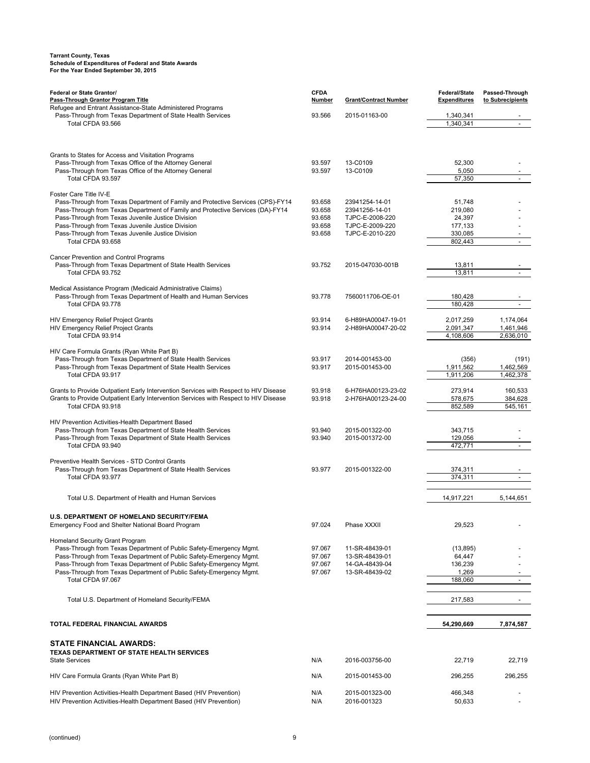| Federal or State Grantor/<br>Pass-Through Grantor Program Title<br>Refugee and Entrant Assistance-State Administered Programs | <b>CFDA</b><br><b>Number</b> | <b>Grant/Contract Number</b>       | Federal/State<br><b>Expenditures</b> | Passed-Through<br>to Subrecipients |
|-------------------------------------------------------------------------------------------------------------------------------|------------------------------|------------------------------------|--------------------------------------|------------------------------------|
| Pass-Through from Texas Department of State Health Services                                                                   | 93.566                       | 2015-01163-00                      | 1,340,341                            |                                    |
| Total CFDA 93.566                                                                                                             |                              |                                    | 1,340,341                            | $\sim$                             |
|                                                                                                                               |                              |                                    |                                      |                                    |
| Grants to States for Access and Visitation Programs<br>Pass-Through from Texas Office of the Attorney General                 | 93.597                       | 13-C0109                           | 52,300                               |                                    |
| Pass-Through from Texas Office of the Attorney General                                                                        | 93.597                       | 13-C0109                           | 5,050                                |                                    |
| Total CFDA 93.597                                                                                                             |                              |                                    | 57,350                               |                                    |
| Foster Care Title IV-E<br>Pass-Through from Texas Department of Family and Protective Services (CPS)-FY14                     | 93.658                       | 23941254-14-01                     | 51,748                               |                                    |
| Pass-Through from Texas Department of Family and Protective Services (DA)-FY14                                                | 93.658                       | 23941256-14-01                     | 219,080                              |                                    |
| Pass-Through from Texas Juvenile Justice Division<br>Pass-Through from Texas Juvenile Justice Division                        | 93.658<br>93.658             | TJPC-E-2008-220<br>TJPC-E-2009-220 | 24,397<br>177,133                    |                                    |
| Pass-Through from Texas Juvenile Justice Division                                                                             | 93.658                       | TJPC-E-2010-220                    | 330,085                              |                                    |
| Total CFDA 93.658                                                                                                             |                              |                                    | 802,443                              |                                    |
| Cancer Prevention and Control Programs                                                                                        |                              |                                    |                                      |                                    |
| Pass-Through from Texas Department of State Health Services                                                                   | 93.752                       | 2015-047030-001B                   | 13,811                               |                                    |
| Total CFDA 93.752                                                                                                             |                              |                                    | 13,811                               |                                    |
| Medical Assistance Program (Medicaid Administrative Claims)                                                                   |                              |                                    |                                      |                                    |
| Pass-Through from Texas Department of Health and Human Services                                                               | 93.778                       | 7560011706-OE-01                   | 180,428                              |                                    |
| Total CFDA 93.778                                                                                                             |                              |                                    | 180,428                              |                                    |
| HIV Emergency Relief Project Grants                                                                                           | 93.914                       | 6-H89HA00047-19-01                 | 2,017,259                            | 1,174,064                          |
| <b>HIV Emergency Relief Project Grants</b>                                                                                    | 93.914                       | 2-H89HA00047-20-02                 | 2,091,347                            | 1,461,946                          |
| Total CFDA 93.914                                                                                                             |                              |                                    | 4,108,606                            | 2,636,010                          |
| HIV Care Formula Grants (Ryan White Part B)                                                                                   |                              |                                    |                                      |                                    |
| Pass-Through from Texas Department of State Health Services                                                                   | 93.917                       | 2014-001453-00                     | (356)                                | (191)                              |
| Pass-Through from Texas Department of State Health Services                                                                   | 93.917                       | 2015-001453-00                     | 1,911,562                            | 1,462,569                          |
| Total CFDA 93.917                                                                                                             |                              |                                    | 1,911,206                            | 1,462,378                          |
| Grants to Provide Outpatient Early Intervention Services with Respect to HIV Disease                                          | 93.918                       | 6-H76HA00123-23-02                 | 273,914                              | 160,533                            |
| Grants to Provide Outpatient Early Intervention Services with Respect to HIV Disease                                          | 93.918                       | 2-H76HA00123-24-00                 | 578,675                              | 384,628                            |
| Total CFDA 93.918                                                                                                             |                              |                                    | 852,589                              | 545,161                            |
| HIV Prevention Activities-Health Department Based                                                                             |                              |                                    |                                      |                                    |
| Pass-Through from Texas Department of State Health Services                                                                   | 93.940                       | 2015-001322-00                     | 343,715                              |                                    |
| Pass-Through from Texas Department of State Health Services<br>Total CFDA 93.940                                              | 93.940                       | 2015-001372-00                     | 129,056                              |                                    |
|                                                                                                                               |                              |                                    | 472,771                              |                                    |
| Preventive Health Services - STD Control Grants                                                                               |                              |                                    |                                      |                                    |
| Pass-Through from Texas Department of State Health Services                                                                   | 93.977                       | 2015-001322-00                     | 374,311                              |                                    |
| Total CFDA 93.977                                                                                                             |                              |                                    | 374,311                              |                                    |
| Total U.S. Department of Health and Human Services                                                                            |                              |                                    | 14,917,221                           | 5,144,651                          |
|                                                                                                                               |                              |                                    |                                      |                                    |
| U.S. DEPARTMENT OF HOMELAND SECURITY/FEMA                                                                                     |                              |                                    |                                      |                                    |
| Emergency Food and Shelter National Board Program                                                                             | 97.024                       | Phase XXXII                        | 29,523                               |                                    |
| Homeland Security Grant Program                                                                                               |                              |                                    |                                      |                                    |
| Pass-Through from Texas Department of Public Safety-Emergency Mgmt.                                                           | 97.067                       | 11-SR-48439-01                     | (13, 895)                            |                                    |
| Pass-Through from Texas Department of Public Safety-Emergency Mgmt.                                                           | 97.067                       | 13-SR-48439-01                     | 64,447                               |                                    |
| Pass-Through from Texas Department of Public Safety-Emergency Mgmt.                                                           | 97.067                       | 14-GA-48439-04                     | 136,239                              |                                    |
| Pass-Through from Texas Department of Public Safety-Emergency Mgmt.<br>Total CFDA 97.067                                      | 97.067                       | 13-SR-48439-02                     | 1,269<br>188,060                     | $\blacksquare$                     |
|                                                                                                                               |                              |                                    |                                      |                                    |
| Total U.S. Department of Homeland Security/FEMA                                                                               |                              |                                    | 217,583                              |                                    |
|                                                                                                                               |                              |                                    |                                      |                                    |
| TOTAL FEDERAL FINANCIAL AWARDS                                                                                                |                              |                                    | 54,290,669                           | 7,874,587                          |
| <b>STATE FINANCIAL AWARDS:</b>                                                                                                |                              |                                    |                                      |                                    |
| TEXAS DEPARTMENT OF STATE HEALTH SERVICES                                                                                     |                              |                                    |                                      |                                    |
| <b>State Services</b>                                                                                                         | N/A                          | 2016-003756-00                     | 22,719                               | 22,719                             |
| HIV Care Formula Grants (Ryan White Part B)                                                                                   | N/A                          | 2015-001453-00                     | 296,255                              | 296,255                            |
| HIV Prevention Activities-Health Department Based (HIV Prevention)                                                            | N/A                          | 2015-001323-00                     | 466,348                              |                                    |
| HIV Prevention Activities-Health Department Based (HIV Prevention)                                                            | N/A                          | 2016-001323                        | 50,633                               |                                    |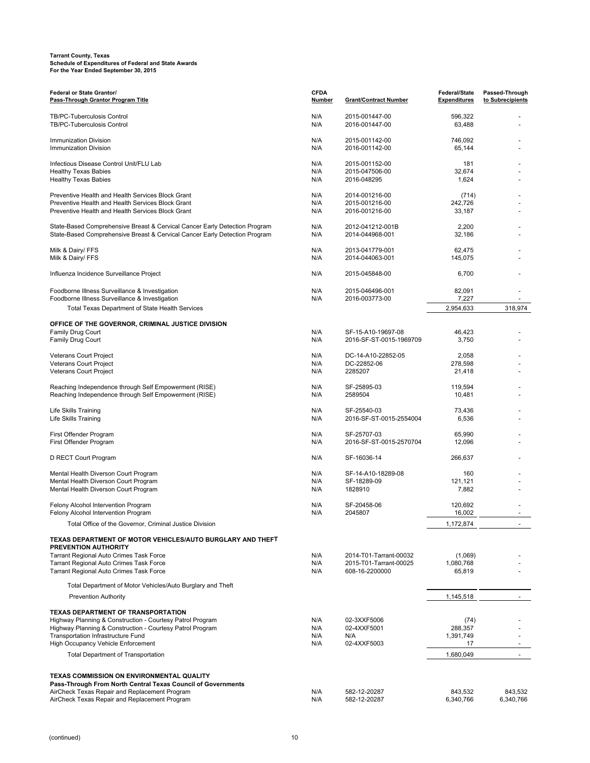| Federal or State Grantor/<br>Pass-Through Grantor Program Title                                                                                             | <b>CFDA</b><br><b>Number</b> | <b>Grant/Contract Number</b>                                       | <b>Federal/State</b><br>Expenditures | Passed-Through<br>to Subrecipients |
|-------------------------------------------------------------------------------------------------------------------------------------------------------------|------------------------------|--------------------------------------------------------------------|--------------------------------------|------------------------------------|
| <b>TB/PC-Tuberculosis Control</b><br>TB/PC-Tuberculosis Control                                                                                             | N/A<br>N/A                   | 2015-001447-00<br>2016-001447-00                                   | 596,322<br>63,488                    |                                    |
| <b>Immunization Division</b><br><b>Immunization Division</b>                                                                                                | N/A<br>N/A                   | 2015-001142-00<br>2016-001142-00                                   | 746,092<br>65,144                    |                                    |
| Infectious Disease Control Unit/FLU Lab<br>Healthy Texas Babies                                                                                             | N/A<br>N/A                   | 2015-001152-00<br>2015-047506-00                                   | 181<br>32,674                        |                                    |
| <b>Healthy Texas Babies</b>                                                                                                                                 | N/A                          | 2016-048295                                                        | 1,624                                |                                    |
| Preventive Health and Health Services Block Grant<br>Preventive Health and Health Services Block Grant<br>Preventive Health and Health Services Block Grant | N/A<br>N/A<br>N/A            | 2014-001216-00<br>2015-001216-00<br>2016-001216-00                 | (714)<br>242,726<br>33,187           |                                    |
| State-Based Comprehensive Breast & Cervical Cancer Early Detection Program                                                                                  | N/A                          | 2012-041212-001B                                                   | 2,200                                |                                    |
| State-Based Comprehensive Breast & Cervical Cancer Early Detection Program                                                                                  | N/A                          | 2014-044968-001                                                    | 32,186                               |                                    |
| Milk & Dairy/ FFS<br>Milk & Dairy/ FFS                                                                                                                      | N/A<br>N/A                   | 2013-041779-001<br>2014-044063-001                                 | 62,475<br>145,075                    |                                    |
| Influenza Incidence Surveillance Project                                                                                                                    | N/A                          | 2015-045848-00                                                     | 6,700                                |                                    |
| Foodborne Illness Surveillance & Investigation<br>Foodborne Illness Surveillance & Investigation                                                            | N/A<br>N/A                   | 2015-046496-001<br>2016-003773-00                                  | 82,091<br>7,227                      |                                    |
| <b>Total Texas Department of State Health Services</b>                                                                                                      |                              |                                                                    | 2,954,633                            | 318,974                            |
| OFFICE OF THE GOVERNOR, CRIMINAL JUSTICE DIVISION                                                                                                           |                              |                                                                    |                                      |                                    |
| Family Drug Court<br>Family Drug Court                                                                                                                      | N/A<br>N/A                   | SF-15-A10-19697-08<br>2016-SF-ST-0015-1969709                      | 46,423<br>3,750                      |                                    |
| Veterans Court Project                                                                                                                                      | N/A                          | DC-14-A10-22852-05                                                 | 2,058                                |                                    |
| <b>Veterans Court Project</b><br>Veterans Court Project                                                                                                     | N/A<br>N/A                   | DC-22852-06<br>2285207                                             | 278,598<br>21,418                    |                                    |
| Reaching Independence through Self Empowerment (RISE)<br>Reaching Independence through Self Empowerment (RISE)                                              | N/A<br>N/A                   | SF-25895-03<br>2589504                                             | 119,594<br>10,481                    |                                    |
| Life Skills Training<br>Life Skills Training                                                                                                                | N/A<br>N/A                   | SF-25540-03<br>2016-SF-ST-0015-2554004                             | 73,436<br>6,536                      |                                    |
| First Offender Program<br>First Offender Program                                                                                                            | N/A<br>N/A                   | SF-25707-03<br>2016-SF-ST-0015-2570704                             | 65,990<br>12,096                     |                                    |
| D RECT Court Program                                                                                                                                        | N/A                          | SF-16036-14                                                        | 266,637                              |                                    |
| Mental Health Diverson Court Program                                                                                                                        | N/A                          | SF-14-A10-18289-08                                                 | 160                                  |                                    |
| Mental Health Diverson Court Program<br>Mental Health Diverson Court Program                                                                                | N/A<br>N/A                   | SF-18289-09<br>1828910                                             | 121,121<br>7,882                     |                                    |
| Felony Alcohol Intervention Program<br>Felony Alcohol Intervention Program                                                                                  | N/A<br>N/A                   | SF-20458-06<br>2045807                                             | 120,692<br>16,002                    |                                    |
| Total Office of the Governor, Criminal Justice Division                                                                                                     |                              |                                                                    | 1,172,874                            |                                    |
| TEXAS DEPARTMENT OF MOTOR VEHICLES/AUTO BURGLARY AND THEFT<br><b>PREVENTION AUTHORITY</b>                                                                   |                              |                                                                    |                                      |                                    |
| <b>Tarrant Regional Auto Crimes Task Force</b><br>Tarrant Regional Auto Crimes Task Force<br>Tarrant Regional Auto Crimes Task Force                        | N/A<br>N/A<br>N/A            | 2014-T01-Tarrant-00032<br>2015-T01-Tarrant-00025<br>608-16-2200000 | (1,069)<br>1,080,768<br>65,819       |                                    |
| Total Department of Motor Vehicles/Auto Burglary and Theft                                                                                                  |                              |                                                                    |                                      |                                    |
| <b>Prevention Authority</b>                                                                                                                                 |                              |                                                                    | 1,145,518                            |                                    |
| TEXAS DEPARTMENT OF TRANSPORTATION                                                                                                                          |                              |                                                                    |                                      |                                    |
| Highway Planning & Construction - Courtesy Patrol Program                                                                                                   | N/A                          | 02-3XXF5006                                                        | (74)                                 |                                    |
| Highway Planning & Construction - Courtesy Patrol Program<br>Transportation Infrastructure Fund                                                             | N/A<br>N/A                   | 02-4XXF5001<br>N/A                                                 | 288,357<br>1,391,749                 |                                    |
| High Occupancy Vehicle Enforcement                                                                                                                          | N/A                          | 02-4XXF5003                                                        | 17                                   |                                    |
| <b>Total Department of Transportation</b>                                                                                                                   |                              |                                                                    | 1,680,049                            |                                    |
| <b>TEXAS COMMISSION ON ENVIRONMENTAL QUALITY</b>                                                                                                            |                              |                                                                    |                                      |                                    |
| Pass-Through From North Central Texas Council of Governments<br>AirCheck Texas Repair and Replacement Program                                               | N/A                          | 582-12-20287                                                       | 843,532                              | 843,532                            |
| AirCheck Texas Repair and Replacement Program                                                                                                               | N/A                          | 582-12-20287                                                       | 6,340,766                            | 6,340,766                          |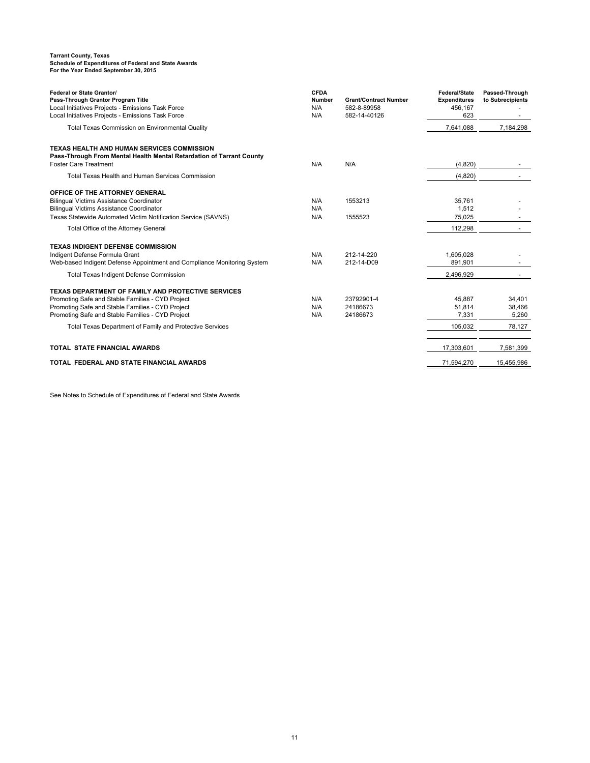| Federal or State Grantor/<br>Pass-Through Grantor Program Title<br>Local Initiatives Projects - Emissions Task Force<br>Local Initiatives Projects - Emissions Task Force                                                                                                         | <b>CFDA</b><br>Number<br>N/A<br>N/A | <b>Grant/Contract Number</b><br>582-8-89958<br>582-14-40126 | Federal/State<br><b>Expenditures</b><br>456,167<br>623 | Passed-Through<br>to Subrecipients  |
|-----------------------------------------------------------------------------------------------------------------------------------------------------------------------------------------------------------------------------------------------------------------------------------|-------------------------------------|-------------------------------------------------------------|--------------------------------------------------------|-------------------------------------|
| <b>Total Texas Commission on Environmental Quality</b>                                                                                                                                                                                                                            |                                     |                                                             | 7,641,088                                              | 7,184,298                           |
| <b>TEXAS HEALTH AND HUMAN SERVICES COMMISSION</b><br>Pass-Through From Mental Health Mental Retardation of Tarrant County<br><b>Foster Care Treatment</b>                                                                                                                         | N/A                                 | N/A                                                         | (4,820)                                                |                                     |
| Total Texas Health and Human Services Commission                                                                                                                                                                                                                                  |                                     |                                                             | (4,820)                                                |                                     |
| OFFICE OF THE ATTORNEY GENERAL<br><b>Bilingual Victims Assistance Coordinator</b><br><b>Bilingual Victims Assistance Coordinator</b><br>Texas Statewide Automated Victim Notification Service (SAVNS)                                                                             | N/A<br>N/A<br>N/A                   | 1553213<br>1555523                                          | 35,761<br>1,512<br>75,025                              |                                     |
| Total Office of the Attorney General                                                                                                                                                                                                                                              |                                     |                                                             | 112,298                                                |                                     |
| <b>TEXAS INDIGENT DEFENSE COMMISSION</b><br>Indigent Defense Formula Grant<br>Web-based Indigent Defense Appointment and Compliance Monitoring System                                                                                                                             | N/A<br>N/A                          | 212-14-220<br>212-14-D09                                    | 1,605,028<br>891,901                                   |                                     |
| Total Texas Indigent Defense Commission                                                                                                                                                                                                                                           |                                     |                                                             | 2,496,929                                              |                                     |
| <b>TEXAS DEPARTMENT OF FAMILY AND PROTECTIVE SERVICES</b><br>Promoting Safe and Stable Families - CYD Project<br>Promoting Safe and Stable Families - CYD Project<br>Promoting Safe and Stable Families - CYD Project<br>Total Texas Department of Family and Protective Services | N/A<br>N/A<br>N/A                   | 23792901-4<br>24186673<br>24186673                          | 45,887<br>51,814<br>7.331<br>105,032                   | 34,401<br>38,466<br>5.260<br>78,127 |
| <b>TOTAL STATE FINANCIAL AWARDS</b>                                                                                                                                                                                                                                               |                                     |                                                             | 17,303,601                                             | 7,581,399                           |
| TOTAL FEDERAL AND STATE FINANCIAL AWARDS                                                                                                                                                                                                                                          |                                     |                                                             | 71,594,270                                             | 15.455.986                          |

See Notes to Schedule of Expenditures of Federal and State Awards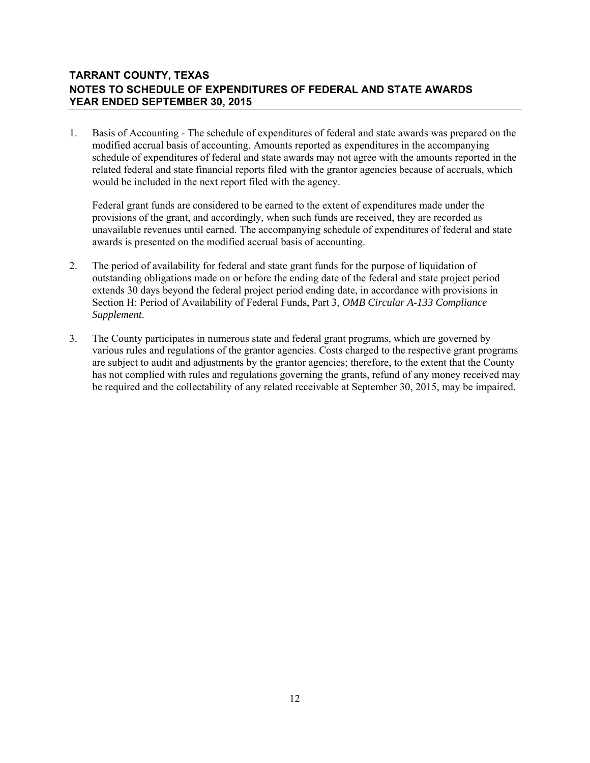#### **TARRANT COUNTY, TEXAS NOTES TO SCHEDULE OF EXPENDITURES OF FEDERAL AND STATE AWARDS YEAR ENDED SEPTEMBER 30, 2015**

1. Basis of Accounting - The schedule of expenditures of federal and state awards was prepared on the modified accrual basis of accounting. Amounts reported as expenditures in the accompanying schedule of expenditures of federal and state awards may not agree with the amounts reported in the related federal and state financial reports filed with the grantor agencies because of accruals, which would be included in the next report filed with the agency.

 Federal grant funds are considered to be earned to the extent of expenditures made under the provisions of the grant, and accordingly, when such funds are received, they are recorded as unavailable revenues until earned. The accompanying schedule of expenditures of federal and state awards is presented on the modified accrual basis of accounting.

- 2. The period of availability for federal and state grant funds for the purpose of liquidation of outstanding obligations made on or before the ending date of the federal and state project period extends 30 days beyond the federal project period ending date, in accordance with provisions in Section H: Period of Availability of Federal Funds, Part 3, *OMB Circular A-133 Compliance Supplement*.
- 3. The County participates in numerous state and federal grant programs, which are governed by various rules and regulations of the grantor agencies. Costs charged to the respective grant programs are subject to audit and adjustments by the grantor agencies; therefore, to the extent that the County has not complied with rules and regulations governing the grants, refund of any money received may be required and the collectability of any related receivable at September 30, 2015, may be impaired.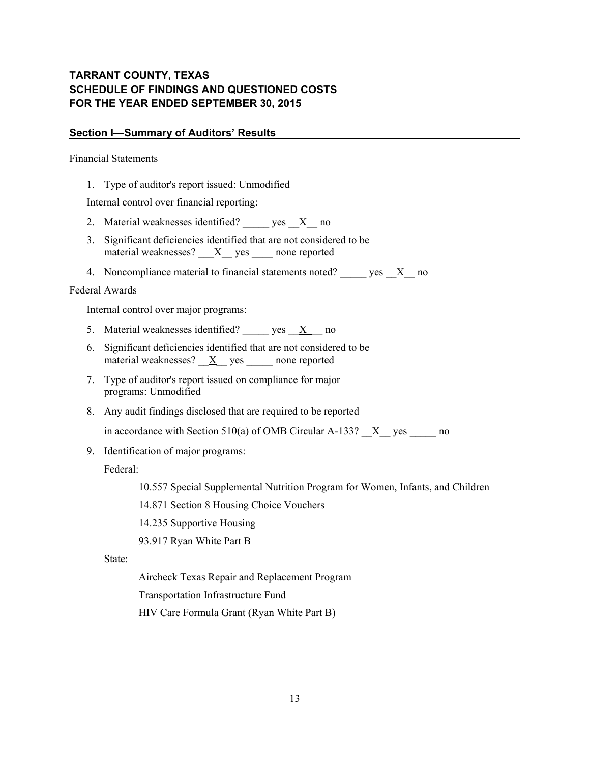### **TARRANT COUNTY, TEXAS SCHEDULE OF FINDINGS AND QUESTIONED COSTS FOR THE YEAR ENDED SEPTEMBER 30, 2015**

#### **Section I—Summary of Auditors' Results**

Financial Statements

1. Type of auditor's report issued: Unmodified

Internal control over financial reporting:

- 2. Material weaknesses identified? \_\_\_\_\_ yes  $X$  no
- 3. Significant deficiencies identified that are not considered to be material weaknesses? \_\_\_X\_\_ yes \_\_\_\_ none reported
- 4. Noncompliance material to financial statements noted? yes X no

#### Federal Awards

Internal control over major programs:

- 5. Material weaknesses identified?  $yes \quad X \quad no$
- 6. Significant deficiencies identified that are not considered to be material weaknesses?  $\underline{X}$  yes \_\_\_\_\_\_ none reported
- 7. Type of auditor's report issued on compliance for major programs: Unmodified
- 8. Any audit findings disclosed that are required to be reported

in accordance with Section 510(a) of OMB Circular A-133?  $\underline{X}$  yes  $\underline{X}$  no

9. Identification of major programs:

Federal:

10.557 Special Supplemental Nutrition Program for Women, Infants, and Children

14.871 Section 8 Housing Choice Vouchers

- 14.235 Supportive Housing
- 93.917 Ryan White Part B

State:

Aircheck Texas Repair and Replacement Program

Transportation Infrastructure Fund

HIV Care Formula Grant (Ryan White Part B)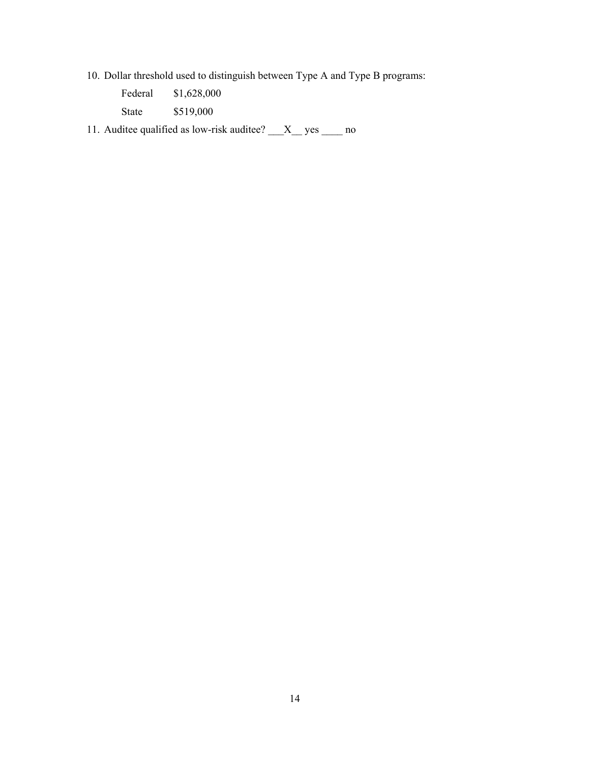10. Dollar threshold used to distinguish between Type A and Type B programs:

| Federal | \$1,628,000 |
|---------|-------------|
| State   | \$519,000   |

11. Auditee qualified as low-risk auditee? \_\_\_X\_\_ yes \_\_\_\_ no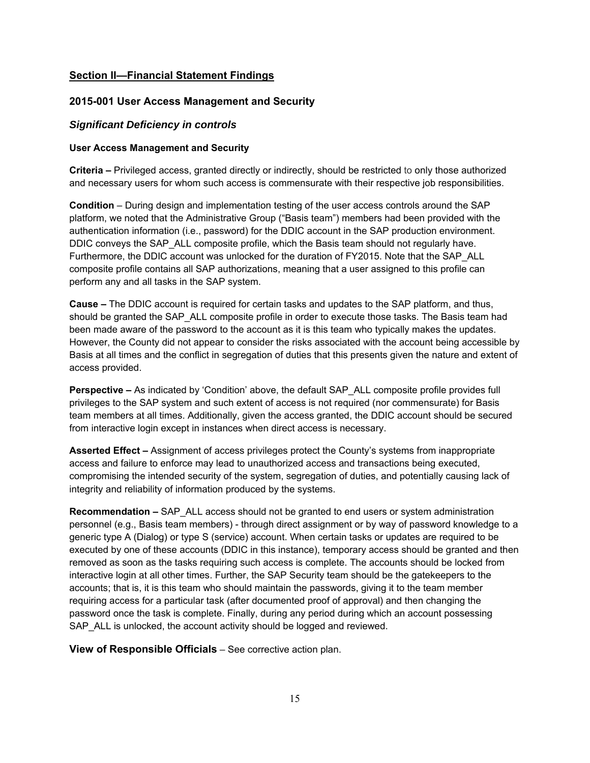#### **Section II—Financial Statement Findings**

#### **2015-001 User Access Management and Security**

#### *Significant Deficiency in controls*

#### **User Access Management and Security**

**Criteria –** Privileged access, granted directly or indirectly, should be restricted to only those authorized and necessary users for whom such access is commensurate with their respective job responsibilities.

**Condition** – During design and implementation testing of the user access controls around the SAP platform, we noted that the Administrative Group ("Basis team") members had been provided with the authentication information (i.e., password) for the DDIC account in the SAP production environment. DDIC conveys the SAP ALL composite profile, which the Basis team should not regularly have. Furthermore, the DDIC account was unlocked for the duration of FY2015. Note that the SAP\_ALL composite profile contains all SAP authorizations, meaning that a user assigned to this profile can perform any and all tasks in the SAP system.

**Cause –** The DDIC account is required for certain tasks and updates to the SAP platform, and thus, should be granted the SAP\_ALL composite profile in order to execute those tasks. The Basis team had been made aware of the password to the account as it is this team who typically makes the updates. However, the County did not appear to consider the risks associated with the account being accessible by Basis at all times and the conflict in segregation of duties that this presents given the nature and extent of access provided.

**Perspective –** As indicated by 'Condition' above, the default SAP ALL composite profile provides full privileges to the SAP system and such extent of access is not required (nor commensurate) for Basis team members at all times. Additionally, given the access granted, the DDIC account should be secured from interactive login except in instances when direct access is necessary.

**Asserted Effect –** Assignment of access privileges protect the County's systems from inappropriate access and failure to enforce may lead to unauthorized access and transactions being executed, compromising the intended security of the system, segregation of duties, and potentially causing lack of integrity and reliability of information produced by the systems.

**Recommendation –** SAP ALL access should not be granted to end users or system administration personnel (e.g., Basis team members) - through direct assignment or by way of password knowledge to a generic type A (Dialog) or type S (service) account. When certain tasks or updates are required to be executed by one of these accounts (DDIC in this instance), temporary access should be granted and then removed as soon as the tasks requiring such access is complete. The accounts should be locked from interactive login at all other times. Further, the SAP Security team should be the gatekeepers to the accounts; that is, it is this team who should maintain the passwords, giving it to the team member requiring access for a particular task (after documented proof of approval) and then changing the password once the task is complete. Finally, during any period during which an account possessing SAP ALL is unlocked, the account activity should be logged and reviewed.

**View of Responsible Officials –** See corrective action plan.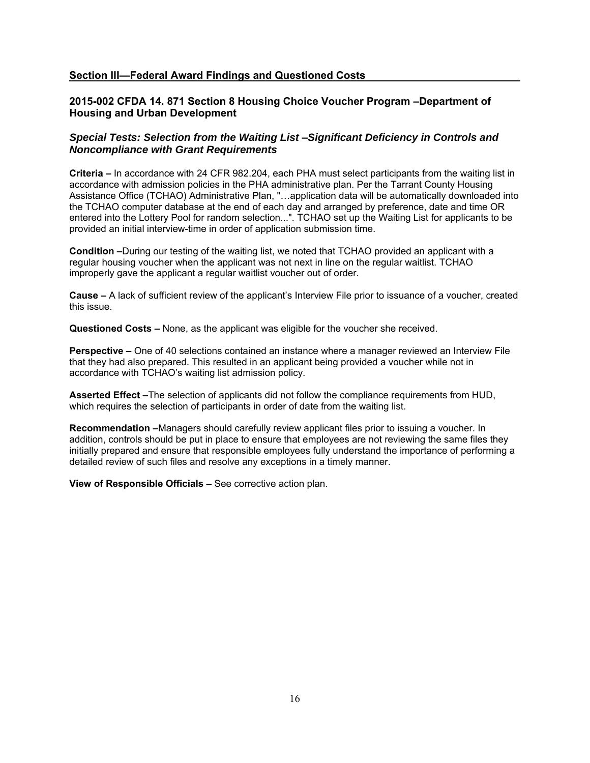#### **Section III—Federal Award Findings and Questioned Costs**

#### **2015-002 CFDA 14. 871 Section 8 Housing Choice Voucher Program –Department of Housing and Urban Development**

#### *Special Tests: Selection from the Waiting List* **–***Significant Deficiency in Controls and Noncompliance with Grant Requirements*

**Criteria –** In accordance with 24 CFR 982.204, each PHA must select participants from the waiting list in accordance with admission policies in the PHA administrative plan. Per the Tarrant County Housing Assistance Office (TCHAO) Administrative Plan, "…application data will be automatically downloaded into the TCHAO computer database at the end of each day and arranged by preference, date and time OR entered into the Lottery Pool for random selection...". TCHAO set up the Waiting List for applicants to be provided an initial interview-time in order of application submission time.

**Condition –**During our testing of the waiting list, we noted that TCHAO provided an applicant with a regular housing voucher when the applicant was not next in line on the regular waitlist. TCHAO improperly gave the applicant a regular waitlist voucher out of order.

**Cause –** A lack of sufficient review of the applicant's Interview File prior to issuance of a voucher, created this issue.

**Questioned Costs –** None, as the applicant was eligible for the voucher she received.

**Perspective –** One of 40 selections contained an instance where a manager reviewed an Interview File that they had also prepared. This resulted in an applicant being provided a voucher while not in accordance with TCHAO's waiting list admission policy.

**Asserted Effect –**The selection of applicants did not follow the compliance requirements from HUD, which requires the selection of participants in order of date from the waiting list.

**Recommendation –**Managers should carefully review applicant files prior to issuing a voucher. In addition, controls should be put in place to ensure that employees are not reviewing the same files they initially prepared and ensure that responsible employees fully understand the importance of performing a detailed review of such files and resolve any exceptions in a timely manner.

**View of Responsible Officials –** See corrective action plan.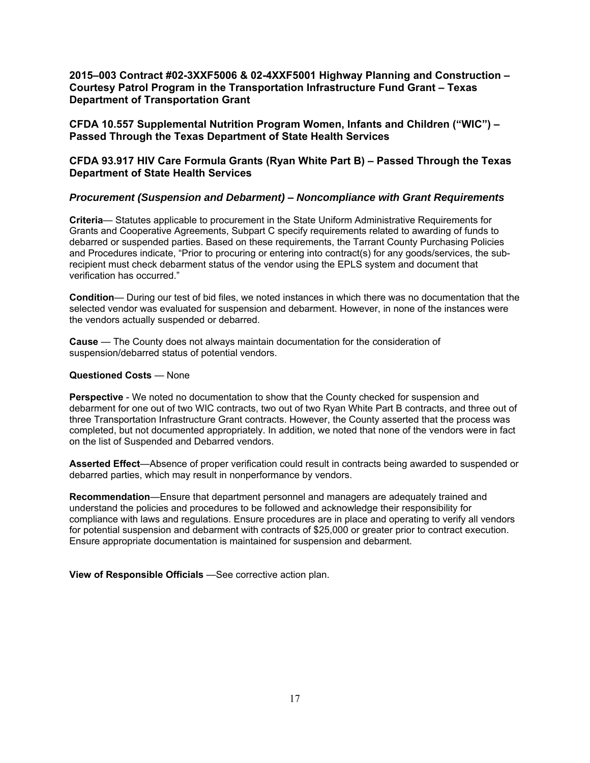**2015–003 Contract #02-3XXF5006 & 02-4XXF5001 Highway Planning and Construction – Courtesy Patrol Program in the Transportation Infrastructure Fund Grant – Texas Department of Transportation Grant** 

**CFDA 10.557 Supplemental Nutrition Program Women, Infants and Children ("WIC") – Passed Through the Texas Department of State Health Services** 

#### **CFDA 93.917 HIV Care Formula Grants (Ryan White Part B) – Passed Through the Texas Department of State Health Services**

#### *Procurement (Suspension and Debarment)* **–** *Noncompliance with Grant Requirements*

**Criteria**— Statutes applicable to procurement in the State Uniform Administrative Requirements for Grants and Cooperative Agreements, Subpart C specify requirements related to awarding of funds to debarred or suspended parties. Based on these requirements, the Tarrant County Purchasing Policies and Procedures indicate, "Prior to procuring or entering into contract(s) for any goods/services, the subrecipient must check debarment status of the vendor using the EPLS system and document that verification has occurred."

**Condition**— During our test of bid files, we noted instances in which there was no documentation that the selected vendor was evaluated for suspension and debarment. However, in none of the instances were the vendors actually suspended or debarred.

**Cause** — The County does not always maintain documentation for the consideration of suspension/debarred status of potential vendors.

#### **Questioned Costs** — None

**Perspective** - We noted no documentation to show that the County checked for suspension and debarment for one out of two WIC contracts, two out of two Ryan White Part B contracts, and three out of three Transportation Infrastructure Grant contracts. However, the County asserted that the process was completed, but not documented appropriately. In addition, we noted that none of the vendors were in fact on the list of Suspended and Debarred vendors.

**Asserted Effect**—Absence of proper verification could result in contracts being awarded to suspended or debarred parties, which may result in nonperformance by vendors.

**Recommendation**—Ensure that department personnel and managers are adequately trained and understand the policies and procedures to be followed and acknowledge their responsibility for compliance with laws and regulations. Ensure procedures are in place and operating to verify all vendors for potential suspension and debarment with contracts of \$25,000 or greater prior to contract execution. Ensure appropriate documentation is maintained for suspension and debarment.

**View of Responsible Officials** —See corrective action plan.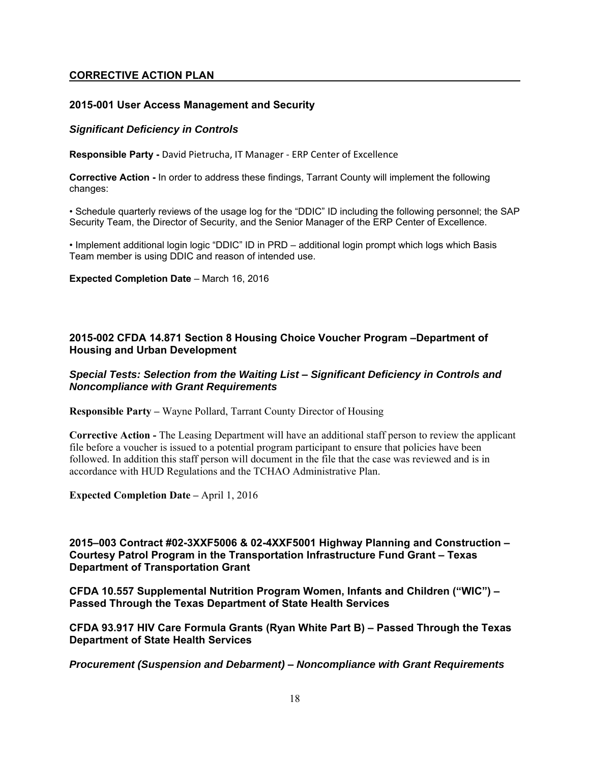#### **CORRECTIVE ACTION PLAN**

#### **2015-001 User Access Management and Security**

#### *Significant Deficiency in Controls*

**Responsible Party -** David Pietrucha, IT Manager - ERP Center of Excellence

**Corrective Action -** In order to address these findings, Tarrant County will implement the following changes:

• Schedule quarterly reviews of the usage log for the "DDIC" ID including the following personnel; the SAP Security Team, the Director of Security, and the Senior Manager of the ERP Center of Excellence.

• Implement additional login logic "DDIC" ID in PRD – additional login prompt which logs which Basis Team member is using DDIC and reason of intended use.

**Expected Completion Date** – March 16, 2016

#### **2015-002 CFDA 14.871 Section 8 Housing Choice Voucher Program –Department of Housing and Urban Development**

#### *Special Tests: Selection from the Waiting List* **–** *Significant Deficiency in Controls and Noncompliance with Grant Requirements*

**Responsible Party –** Wayne Pollard, Tarrant County Director of Housing

**Corrective Action -** The Leasing Department will have an additional staff person to review the applicant file before a voucher is issued to a potential program participant to ensure that policies have been followed. In addition this staff person will document in the file that the case was reviewed and is in accordance with HUD Regulations and the TCHAO Administrative Plan.

**Expected Completion Date –** April 1, 2016

**2015–003 Contract #02-3XXF5006 & 02-4XXF5001 Highway Planning and Construction – Courtesy Patrol Program in the Transportation Infrastructure Fund Grant – Texas Department of Transportation Grant** 

**CFDA 10.557 Supplemental Nutrition Program Women, Infants and Children ("WIC") – Passed Through the Texas Department of State Health Services** 

**CFDA 93.917 HIV Care Formula Grants (Ryan White Part B) – Passed Through the Texas Department of State Health Services** 

*Procurement (Suspension and Debarment)* **–** *Noncompliance with Grant Requirements*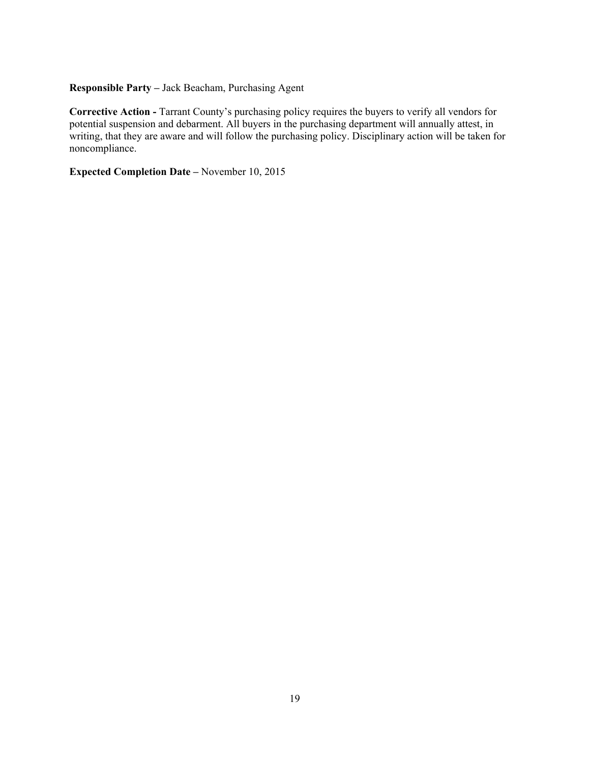### **Responsible Party –** Jack Beacham, Purchasing Agent

**Corrective Action -** Tarrant County's purchasing policy requires the buyers to verify all vendors for potential suspension and debarment. All buyers in the purchasing department will annually attest, in writing, that they are aware and will follow the purchasing policy. Disciplinary action will be taken for noncompliance.

**Expected Completion Date –** November 10, 2015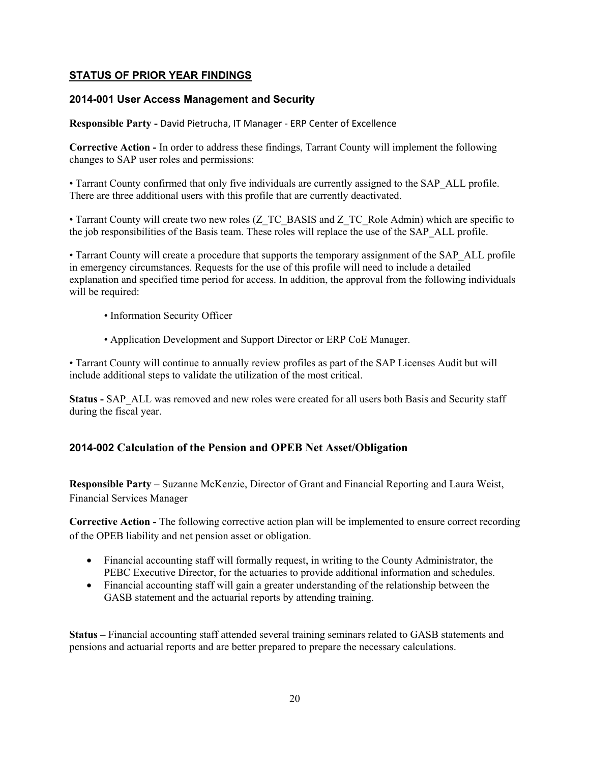### **STATUS OF PRIOR YEAR FINDINGS**

#### **2014-001 User Access Management and Security**

**Responsible Party -** David Pietrucha, IT Manager - ERP Center of Excellence

**Corrective Action -** In order to address these findings, Tarrant County will implement the following changes to SAP user roles and permissions:

• Tarrant County confirmed that only five individuals are currently assigned to the SAP\_ALL profile. There are three additional users with this profile that are currently deactivated.

• Tarrant County will create two new roles (Z\_TC\_BASIS and Z\_TC\_Role Admin) which are specific to the job responsibilities of the Basis team. These roles will replace the use of the SAP\_ALL profile.

• Tarrant County will create a procedure that supports the temporary assignment of the SAP\_ALL profile in emergency circumstances. Requests for the use of this profile will need to include a detailed explanation and specified time period for access. In addition, the approval from the following individuals will be required:

- Information Security Officer
- Application Development and Support Director or ERP CoE Manager.

• Tarrant County will continue to annually review profiles as part of the SAP Licenses Audit but will include additional steps to validate the utilization of the most critical.

**Status - SAP** ALL was removed and new roles were created for all users both Basis and Security staff during the fiscal year.

#### **2014-002 Calculation of the Pension and OPEB Net Asset/Obligation**

**Responsible Party –** Suzanne McKenzie, Director of Grant and Financial Reporting and Laura Weist, Financial Services Manager

**Corrective Action -** The following corrective action plan will be implemented to ensure correct recording of the OPEB liability and net pension asset or obligation.

- Financial accounting staff will formally request, in writing to the County Administrator, the PEBC Executive Director, for the actuaries to provide additional information and schedules.
- Financial accounting staff will gain a greater understanding of the relationship between the GASB statement and the actuarial reports by attending training.

**Status –** Financial accounting staff attended several training seminars related to GASB statements and pensions and actuarial reports and are better prepared to prepare the necessary calculations.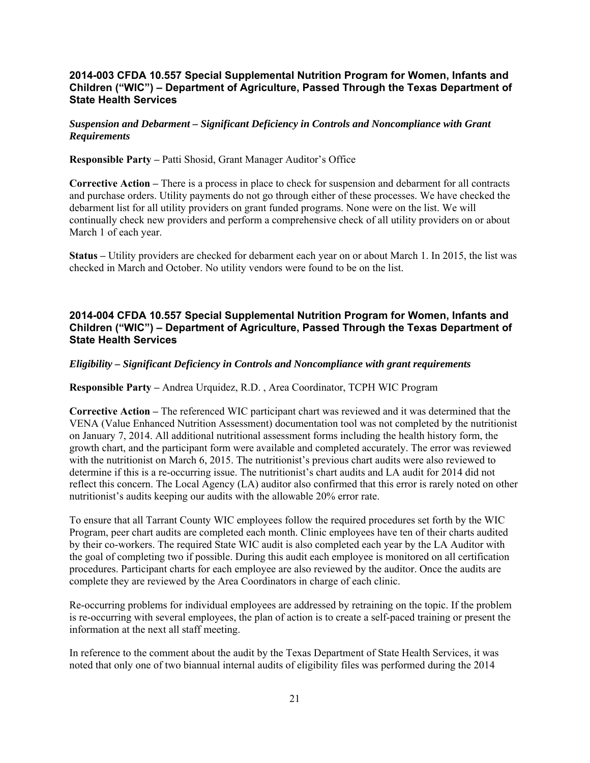#### **2014-003 CFDA 10.557 Special Supplemental Nutrition Program for Women, Infants and Children ("WIC") – Department of Agriculture, Passed Through the Texas Department of State Health Services**

*Suspension and Debarment – Significant Deficiency in Controls and Noncompliance with Grant Requirements* 

**Responsible Party –** Patti Shosid, Grant Manager Auditor's Office

**Corrective Action –** There is a process in place to check for suspension and debarment for all contracts and purchase orders. Utility payments do not go through either of these processes. We have checked the debarment list for all utility providers on grant funded programs. None were on the list. We will continually check new providers and perform a comprehensive check of all utility providers on or about March 1 of each year.

**Status –** Utility providers are checked for debarment each year on or about March 1. In 2015, the list was checked in March and October. No utility vendors were found to be on the list.

#### **2014-004 CFDA 10.557 Special Supplemental Nutrition Program for Women, Infants and Children ("WIC") – Department of Agriculture, Passed Through the Texas Department of State Health Services**

#### *Eligibility – Significant Deficiency in Controls and Noncompliance with grant requirements*

**Responsible Party –** Andrea Urquidez, R.D. , Area Coordinator, TCPH WIC Program

**Corrective Action –** The referenced WIC participant chart was reviewed and it was determined that the VENA (Value Enhanced Nutrition Assessment) documentation tool was not completed by the nutritionist on January 7, 2014. All additional nutritional assessment forms including the health history form, the growth chart, and the participant form were available and completed accurately. The error was reviewed with the nutritionist on March 6, 2015. The nutritionist's previous chart audits were also reviewed to determine if this is a re-occurring issue. The nutritionist's chart audits and LA audit for 2014 did not reflect this concern. The Local Agency (LA) auditor also confirmed that this error is rarely noted on other nutritionist's audits keeping our audits with the allowable 20% error rate.

To ensure that all Tarrant County WIC employees follow the required procedures set forth by the WIC Program, peer chart audits are completed each month. Clinic employees have ten of their charts audited by their co-workers. The required State WIC audit is also completed each year by the LA Auditor with the goal of completing two if possible. During this audit each employee is monitored on all certification procedures. Participant charts for each employee are also reviewed by the auditor. Once the audits are complete they are reviewed by the Area Coordinators in charge of each clinic.

Re-occurring problems for individual employees are addressed by retraining on the topic. If the problem is re-occurring with several employees, the plan of action is to create a self-paced training or present the information at the next all staff meeting.

In reference to the comment about the audit by the Texas Department of State Health Services, it was noted that only one of two biannual internal audits of eligibility files was performed during the 2014